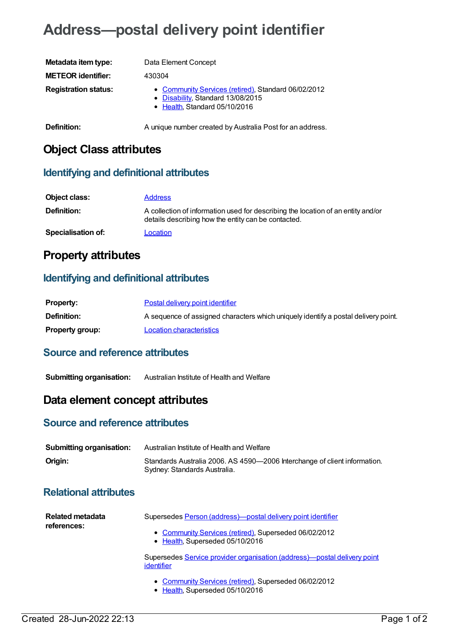# **Address—postal delivery point identifier**

| Metadata item type:         | Data Element Concept                                                                                                      |
|-----------------------------|---------------------------------------------------------------------------------------------------------------------------|
| <b>METEOR identifier:</b>   | 430304                                                                                                                    |
| <b>Registration status:</b> | • Community Services (retired), Standard 06/02/2012<br>• Disability, Standard 13/08/2015<br>• Health, Standard 05/10/2016 |
| Definition:                 | A unique number created by Australia Post for an address.                                                                 |

# **Object Class attributes**

#### **Identifying and definitional attributes**

| Object class:      | <b>Address</b>                                                                                                                          |
|--------------------|-----------------------------------------------------------------------------------------------------------------------------------------|
| Definition:        | A collection of information used for describing the location of an entity and/or<br>details describing how the entity can be contacted. |
| Specialisation of: | Location                                                                                                                                |

# **Property attributes**

#### **Identifying and definitional attributes**

| <b>Property:</b>       | Postal delivery point identifier                                                   |
|------------------------|------------------------------------------------------------------------------------|
| <b>Definition:</b>     | A sequence of assigned characters which uniquely identify a postal delivery point. |
| <b>Property group:</b> | Location characteristics                                                           |

#### **Source and reference attributes**

**Submitting organisation:** Australian Institute of Health and Welfare

## **Data element concept attributes**

### **Source and reference attributes**

| <b>Submitting organisation:</b> | Australian Institute of Health and Welfare                                                                |
|---------------------------------|-----------------------------------------------------------------------------------------------------------|
| Origin:                         | Standards Australia 2006. AS 4590-2006 Interchange of client information.<br>Sydney: Standards Australia. |

## **Relational attributes**

| Related metadata<br>references: | Supersedes Person (address)-postal delivery point identifier                             |
|---------------------------------|------------------------------------------------------------------------------------------|
|                                 | • Community Services (retired), Superseded 06/02/2012<br>• Health, Superseded 05/10/2016 |
|                                 | Supersedes Service provider organisation (address)-postal delivery point<br>identifier   |
|                                 | • Community Services (retired), Superseded 06/02/2012<br>• Health, Superseded 05/10/2016 |